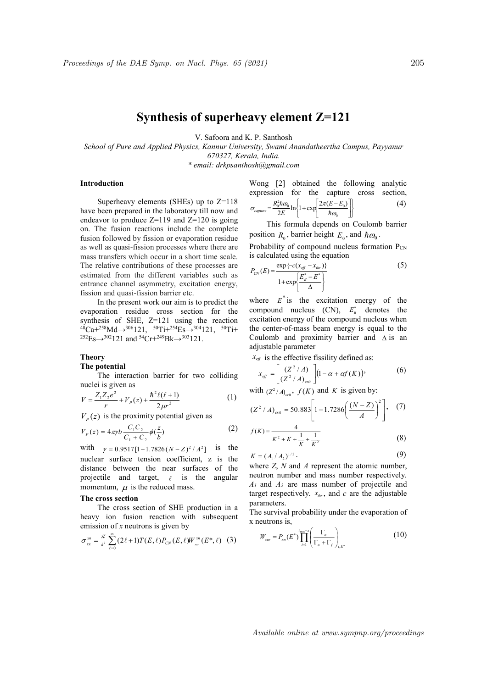# Synthesis of superheavy element Z=121

V. Safoora and K. P. Santhosh

School of Pure and Applied Physics, Kannur University, Swami Anandatheertha Campus, Payyanur 670327, Kerala, India.

\* email: drkpsanthosh@gmail.com

## Introduction

Superheavy elements (SHEs) up to Z=118 have been prepared in the laboratory till now and endeavor to produce  $Z=119$  and  $Z=120$  is going on. The fusion reactions include the complete fusion followed by fission or evaporation residue as well as quasi-fission processes where there are mass transfers which occur in a short time scale. The relative contributions of these processes are estimated from the different variables such as entrance channel asymmetry, excitation energy, fission and quasi-fission barrier etc.

In the present work our aim is to predict the evaporation residue cross section for the synthesis of SHE, Z=121 using the reaction  ${}^{48}Ca+{}^{258}Md\rightarrow{}^{306}121, {}^{50}Ti+{}^{254}Es\rightarrow{}^{304}121, {}^{50}Ti+{}$  ${}^{252}Es \rightarrow {}^{302}121$  and  ${}^{54}Cr + {}^{249}Br \rightarrow {}^{303}121$ .

Theory

The potential

The interaction barrier for two colliding nuclei is given as

$$
V = \frac{Z_1 Z_2 e^2}{r} + V_p(z) + \frac{\hbar^2 \ell(\ell+1)}{2\mu r^2}
$$
 (1)

 $V_P(z)$  is the proximity potential given as

$$
V_P(z) = 4\pi r b \frac{C_1 C_2}{C_1 + C_2} \phi(\frac{z}{b})
$$
 (2)

with  $\gamma = 0.9517[1 - 1.7826(N - Z)^2 / A^2]$  is the nuclear surface tension coefficient, z is the distance between the near surfaces of the projectile and target,  $\ell$  is the angular momentum,  $\mu$  is the reduced mass.

## The cross section

The cross section of SHE production in a heavy ion fusion reaction with subsequent emission of  $x$  neutrons is given by

$$
\sigma_{_{ER}}^{^{xn}} = \frac{\pi}{k^2} \sum_{\ell=0}^{\infty} (2\ell+1) T(E,\ell) P_{CN}(E,\ell) W_{_{sur}}^{^{xn}}(E^*,\ell)
$$
 (3)

Wong [2] obtained the following analytic expression for the capture cross section,  $\left\}$  $\left\{\begin{matrix} 1 \\ 1 \\ 1 \end{matrix}\right.$  $\rfloor$  $\overline{\phantom{a}}$ L  $=\frac{R_0^2\hbar\omega_0}{2E}\ln\left\{1+\exp\left(\frac{2\pi(E-\hbar\omega_0)}{\hbar\omega_0}\right)\right\}$  $\frac{\partial^2 h \omega_0}{\partial E} \ln \left\{ 1 + \exp \left( \frac{2\pi (E - E_0)}{\hbar \omega_0} \right) \right\}$  $\sigma_{\textit{capture}} = \frac{R_0 n \omega_0}{2E} \ln \left\{ 1 + \exp \left( \frac{2\pi (E)}{\hbar} \right) \right\}$  $\hbar \omega_{01}$ <sub>1</sub>,  $\omega_{02}$   $2\pi(E-E_0)$ E  $\frac{R_0^2}{\text{capture}} = \frac{R_0^2}{\sqrt{2}}$ (4)

This formula depends on Coulomb barrier position 
$$
R_0
$$
, barrier height  $E_0$ , and  $\hbar \omega_0$ .

Probability of compound nucleus formation  $P_{CN}$ is calculated using the equation

$$
P_{CN}(E) = \frac{\exp\{-c(x_{\text{eff}} - x_{\text{thr}})\}}{1 + \exp\left\{\frac{E_B^* - E^*}{\Delta}\right\}}
$$
(5)

where  $E^*$  is the excitation energy of the compound nucleus (CN),  $E_B^*$  denotes the excitation energy of the compound nucleus when the center-of-mass beam energy is equal to the Coulomb and proximity barrier and  $\Delta$  is an adjustable parameter and.<br>
mand.<br>
mand.<br>  $S_2$  following analytic expression for the capture cross section,<br>  $\sigma_{\text{square}} = \frac{R_0^2 \hbar \omega_0}{2E} \ln\left{\left[1 + \exp\left[\frac{2\pi (E - E_0)}{\hbar \omega_0}\right]\right\}}\right\}$  (4)<br>
This formula depends on Coulomb barrier<br>
position  $R_0$ 

 $x_{\text{eff}}$  is the effective fissility defined as:

$$
x_{\text{eff}} = \left[ \frac{(Z^2 / A)}{(Z^2 / A)_{\text{crit}}} \right] (1 - \alpha + \alpha f(K))
$$
 (6)

with  $(Z^2/A)_{\text{crit}}$ ,  $f(K)$  and K is given by:

$$
(Z^2 / A)_{\text{crit}} = 50.883 \left[ 1 - 1.7286 \left( \frac{(N - Z)}{A} \right)^2 \right], \quad (7)
$$

$$
f(K) = \frac{4}{K^2 + K + \frac{1}{K} + \frac{1}{K^2}}
$$
 (8)

$$
K = (A_1 / A_2)^{1/3} \tag{9}
$$

where  $Z$ ,  $N$  and  $A$  represent the atomic number, neutron number and mass number respectively.  $A_1$  and  $A_2$  are mass number of projectile and target respectively.  $x_{thr}$ , and c are the adjustable parameters.

The survival probability under the evaporation of x neutrons is,

$$
W_{sur} = P_{xn}(E^*) \prod_{i=1}^{\max} \left( \frac{\Gamma_n}{\Gamma_n + \Gamma_f} \right)_{i,E^*}
$$
 (10)

Available online at www.sympnp.org/proceedings